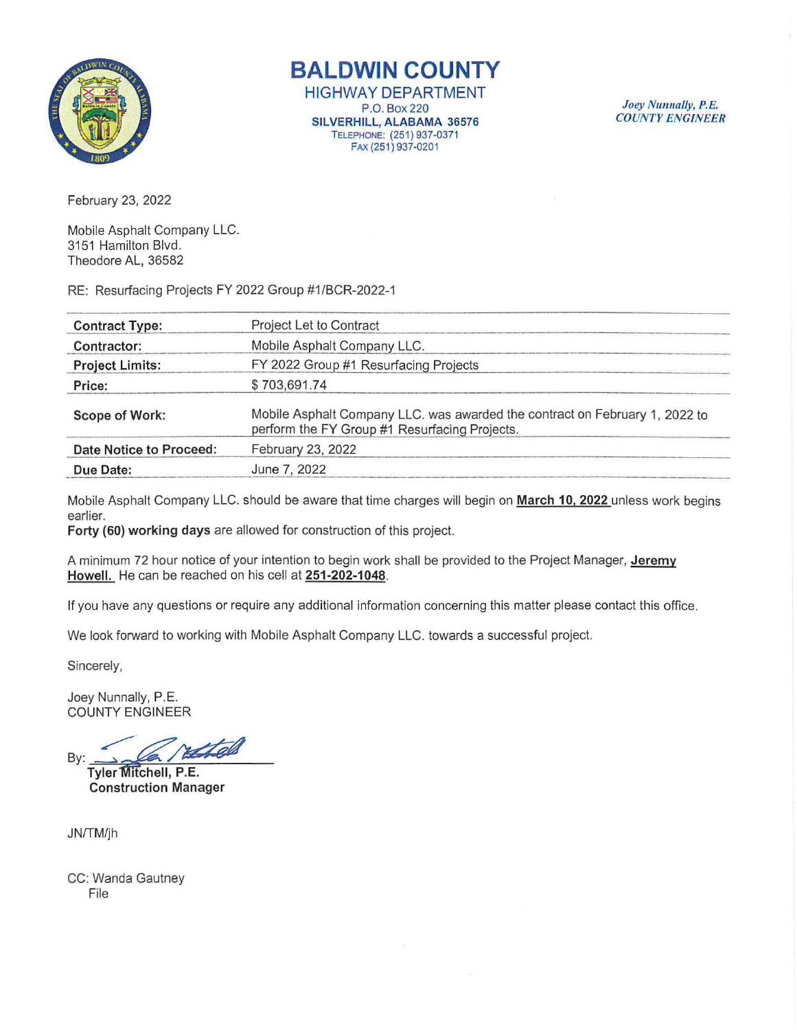

# **BALDWIN COUNTY**

HIGHWAY DEPARTMENT P.O. Box220 SILVERHILL, ALABAMA 36576 TELEPHONE: (251) 937-0371 FAX (251) 937-0201

*Joey Nunnally, P.E. COUNTY ENGINEER* 

February 23, 2022

Mobile Asphalt Company LLC. 3151 Hamilton Blvd. Theodore AL, 36582

RE: Resurfacing Projects FY 2022 Group #1/BCR-2022-1

| <b>Contract Type:</b>   | Project Let to Contract                                                                                                      |
|-------------------------|------------------------------------------------------------------------------------------------------------------------------|
| Contractor:             | Mobile Asphalt Company LLC.                                                                                                  |
| <b>Project Limits:</b>  | FY 2022 Group #1 Resurfacing Projects                                                                                        |
| Price:                  | \$703,691.74                                                                                                                 |
| Scope of Work:          | Mobile Asphalt Company LLC. was awarded the contract on February 1, 2022 to<br>perform the FY Group #1 Resurfacing Projects. |
| Date Notice to Proceed: | February 23, 2022                                                                                                            |
| Due Date:               | June 7, 2022                                                                                                                 |

Mobile Asphalt Company LLC. should be aware that time charges will begin on March 10, 2022 unless work begins earlier.

Forty (60) working days are allowed for construction of this project.

A minimum 72 hour notice of your intention to begin work shall be provided to the Project Manager, Jeremy Howell. He can be reached on his cell at 251-202-1048.

If you have any questions or require any additional information concerning this matter please contact this office.

We look forward to working with Mobile Asphalt Company LLC. towards a successful project.

Sincerely,

Joey Nunnally, P.E. COUNTY ENGINEER

retche By:

**Tyler Mitchell, P.E.** Construction Manager

JN/TM/jh

CC: Wanda Gautney File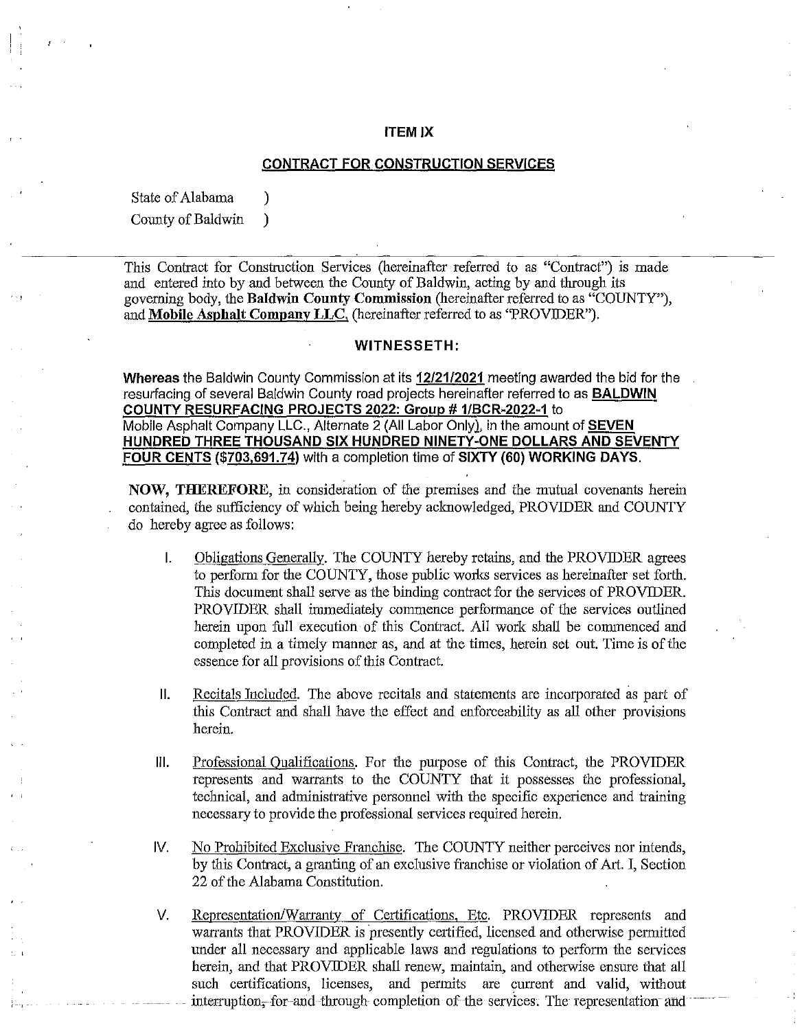#### **ITEM IX**

#### **CONTRACT FOR CONSTRUCTION SERVICES**

State of Alabama )

County of Baldwin )

This Contract for Construction Services (hereinafter referred to as "Contract") is made and entered into by and between the County of Baldwin, acting by and through its governing body, the **Baldwin Counfy Commission** (hereinafter referred to as "COUNTY"), and **Mobile Asphalt Company LLC,** (hereinafter referred to as "PROVIDER").

# **WITNESS ETH:**

**Whereas** the Baldwin County Commission at its **12/21/2021** meeting awarded the bid for the resurfacing of several Baldwin County road projects hereinafter referred to as **BALDWIN COUNTY RESURFACING PROJECTS 2022: Group# 1/BCR-2022·1** lo Mobile Asphalt Company LLC., Alternate 2 (All Labor Only}, in the amount of **SEVEN HUNDRED THREE THOUSAND SIX HUNDRED NINETY-ONE DOLLARS AND SEVENTY FOUR CENTS (\$703,691.74)** with a completion lime of **SIXTY (60) WORKING DAYS.** 

**NOW, THEREFORE,** in consideration of the premises and the mutual covenants herein contained, the sufficiency of which being hereby aclrnowledged, PROVIDER and COUNTY do hereby agree as follows:

- I. Obligations Generally. The COUNTY hereby retains, and the PROVIDER agrees to perform for the COUNTY, those public works services as hereinafter set forth. This document shall serve as the binding contract for the services of PROVIDER. PROVIDER shall immediately commence performance of the services outlined herein upon full execution of this Contract. All work shall be commenced and completed in a timely manner as, and at the times, herein set out. Time is of the essence for all provisions of this Contract.
- **11.** Recitals Included. The above recitals and statements are incorporated as part of this Contract and shall have the effect and enforceability as all other provisions herein.
- Ill. Professional Qualifications. For the pmpose of this Contract, the PROVIDER represents and warrants to the COUNTY that it possesses the professional, technical, and administrative personnel with the specific experience and training necessary to provide the professional services required herein.
- IV. No Prohibited Exclusive Franchise. The COUNTY neither perceives nor intends, by this Contract, a granting of an exclusive franchise or violation of Art. I, Section 22 of the Alabama Constitution.
- V. Representation/Warranty of Certifications, Etc. PROVIDER represents and warrants that PROVIDER is presently certified, licensed and otherwise permitted under all necessary and applicable laws and regulations to perform the services herein, and that PROVIDER shall renew, maintain, and otherwise ensure that all such certifications, licenses, and permits are current and valid, without  $\text{interruption}_{\tau}$  for-and through completion of the services. The representation and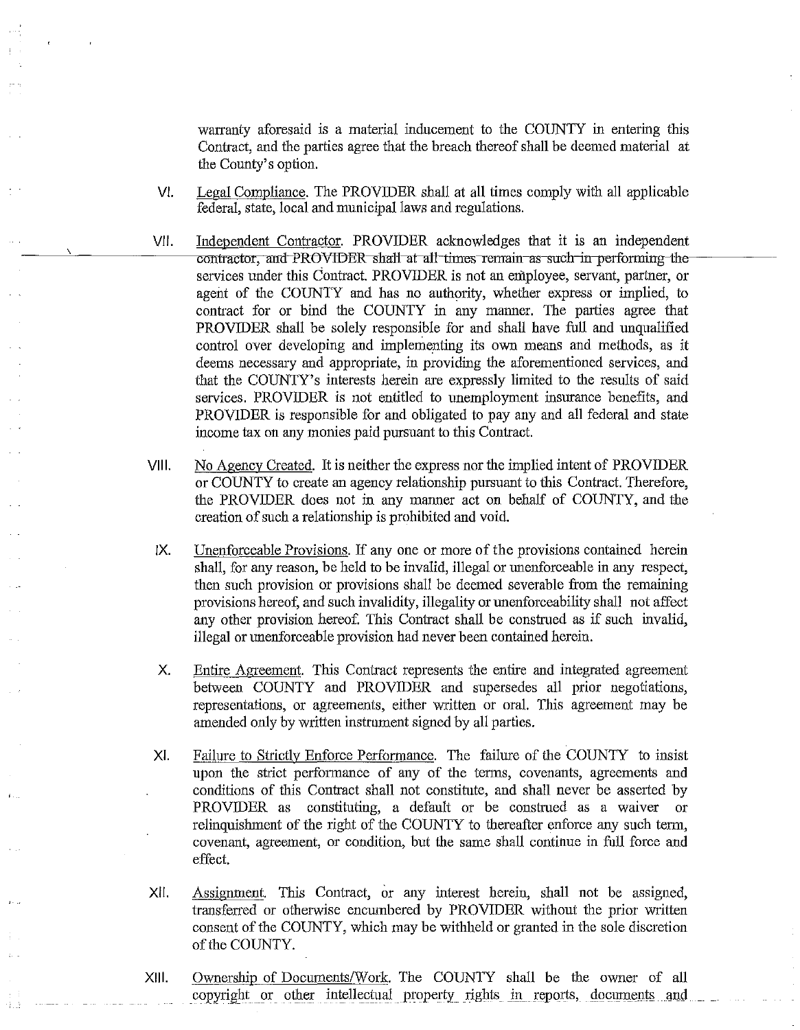warranty aforesaid is a material inducement to the COUNTY in entering this Contract, and the parties agree that the breach thereof shall be deemed material at the County's option.

- VI. Legal Compliance. The PROVIDER shall at all times comply with all applicable federal, state, local and municipal laws and regulations.
- VII. Independent Contractor. PROVIDER acknowledges that it is an independent contractor, and PROVIDER shall at all times remain as such-in-performing-theservices under this Contract. PROVIDER is not an employee, servant, partner, or agent of the COUNTY and has no authority, whether express or implied, to contract for or bind the COUNTY in any manner. The parties agree that PROVIDER shall be solely responsible for and shall have full and unqualified control over developing and implementing its own means and methods, as it deems necessary and appropriate, in providing the aforementioned services, and that the COUNTY's interests herein are expressly limited to the results of said services. PROVIDER is not entitled to unemployment insurance benefits, and PROVIDER is responsible for and obligated to pay any and all federal and state income tax on any monies paid pursuant to this Contract.
- VIII. No Agency Created. It is neither the express nor the implied intent of PROVIDER or COUNTY to create an agency relationship pursuant to this Contract. Therefore, the PROVIDER does not in any manner act on behalf of COUNTY, and the creation of such a relationship is prohibited and void.
- IX. Unenforceable Provisions. If any one or more of the provisions contained herein shall, for any reason, be held to be invalid, illegal or unenforceable in any respect, then such provision or provisions shall be deemed severable from the remaining provisions hereof, and such invalidity, illegality or unenforceability shall not affect any other provision hereof. This Contract shall be construed as if such invalid, illegal or unenforceable provision had never been contained herein.
- X. Entire Agreement. This Contract represents the entire and integrated agreement between COUNTY and PROVIDER and supersedes all prior negotiations, representations, or agreements, either written or oral. This agreement may be amended only by written instrument signed by all parties.
- XI. Failure to Strictly Enforce Performance. The failure of the COUNTY to insist upon the strict performance of any of the terms, covenants, agreements and conditions of this Contract shall not constitute, and shall never be asserted by PROVIDER as constituting, a default or be construed as a waiver or relinquishment of the right of the COUNTY to thereafter enforce any such term, covenant, agreement, or condition, but the same shall continue in full force and effect.
- XII. Assignment. This Contract, or any interest herein, shall not be assigned, transferred or otherwise encumbered by PROVIDER without the prior written consent of the COUNTY, which may be withheld or granted in the sole discretion of the COUNTY.
- XIII. Ownership of Documents/Work. The COUNTY shall be the owner of all copyright or other intellectual property rights in reports, documents and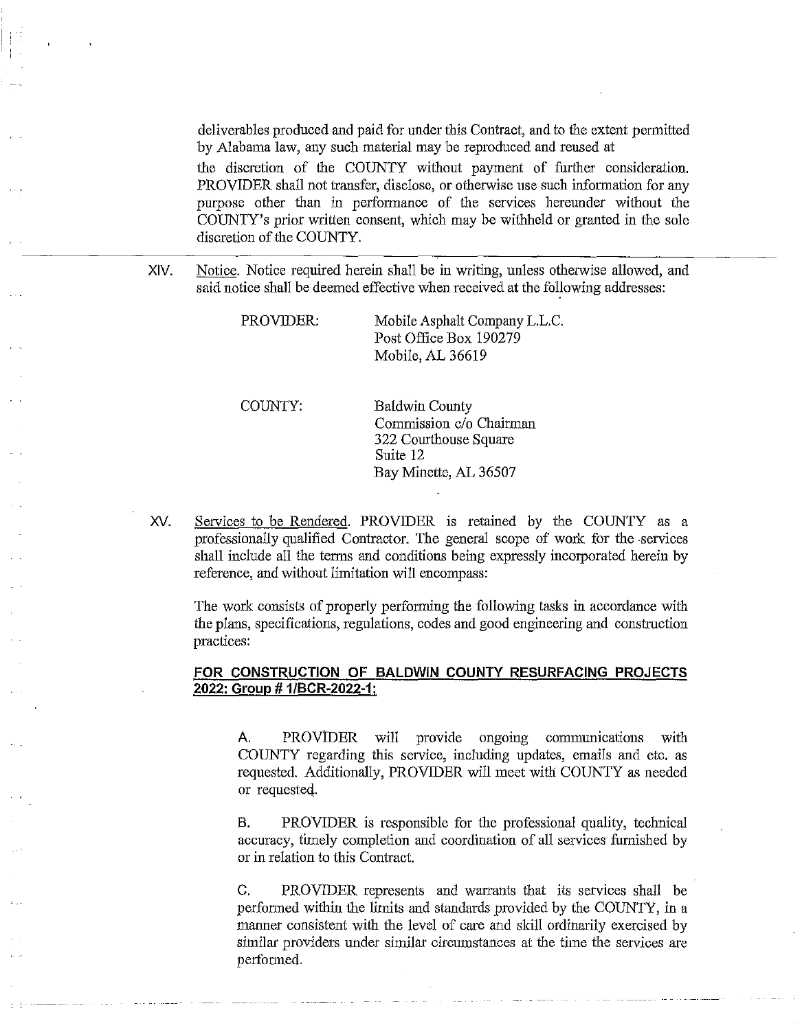deliverables produced and paid for under this Contract, and to the extent permitted by Alabama law, any such material may be reproduced and reused at the discretion of the COUNTY without payment of further consideration. PROVIDER shall not transfer, diselose, or otherwise use such information for any purpose other than in performance of the services hereunder without the COUNTY's prior written consent, which may be withheld or granted in the sole discretion of the COUNTY.

XIV. Notice. Notice required herein shall be in writing, unless otherwise allowed, and said notice shall be deemed effective when received at the following addresses:

> PROVIDER: Mobile Asphalt Company L.L.C. Post Office Box 190279 Mobile, AL 36619

COUNTY: Baldwin County Commission c/o Chairman 322 Courthouse Square Suite 12 Bay Minette, AL 36507

XV. Services to be Rendered. PROVIDER is retained by the COUNTY as a professionally qualified Contractor. The general scope of work for the .services shall include all the terms and conditions being expressly incorporated herein by reference, and without limitation will encompass:

The work consists of properly performing the following tasks in accordance with the plans, specifications, regulations, codes and good engineering and construction practices:

# **FOR CONSTRUCTION OF BALDWIN COUNTY RESURFACING PROJECTS 2022: Group# 1/BCR-2022·1;**

A. PROViDER will provide ongoing communications with COUNTY regarding this service, including updates, emails and etc. as requested. Additionally, PROVIDER will meet with COUNTY as needed or requested.

B. PROVIDER is responsible for the professional quality, technical accuracy, timely completion and coordination of all services furnished by or in relation to this Contract.

C. PROVIDER represents and warrants that its services shall be perfonned within the limits and standards provided by the COUNTY, in a manner consistent with the level of care and skill ordinarily exercised by similar providers under similar circumstances at the time the services are performed.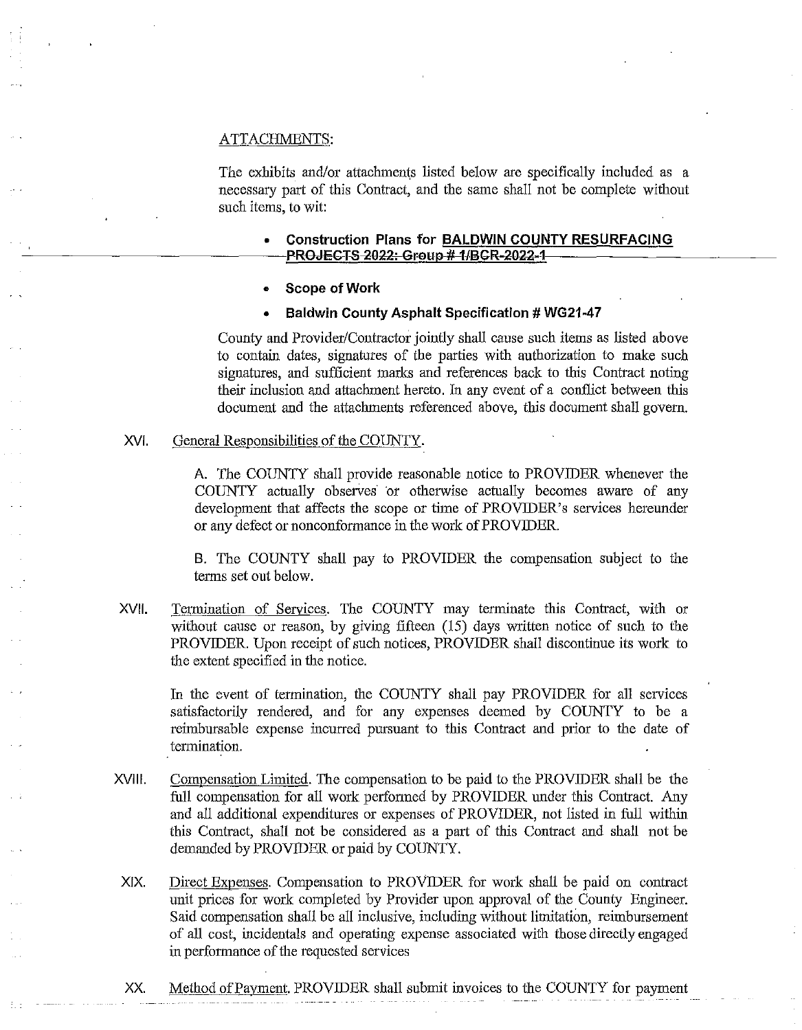#### ATTACHMENTS:

The exhibits and/or attachments listed below are specifically included as a necessary part of this Contract, and the same shall not be complete without such items, to wit:

- **Construction Plans for BALDWIN COUNTY RESURFACING**  PRQJEG-T-S-202~Greup **#** 1/BGR-202~-1
- **Scope of Work**
- **Baldwin County Asphalt Specification # WG21-47**

County and Provider/Contractor jointly shall cause such items as listed above to contain dates, signatures of the parties with authorization to malce such signatures, and sufficient marks and references back to this Contract noting their inclusion and attachment hereto. In any event of a conflict between this document and the attachments referenced above, this document shall govern.

#### XVI. General Responsibilities of the COUNTY.

A. The COUNTY shall provide reasonable notice to PROVIDER whenever the COUNTY actually observes or otherwise actually becomes aware of any development that affects the scope or time of PROVIDER's services hereunder or any defect or nonconformance in the work of PROVIDER.

B. The COUNTY shall pay to PROVIDER the compensation subject to the terms set out below.

XVII. Termination of Services. The COUNTY may terminate this Contract, with or without cause or reason, by giving fifteen (15) days written notice of such to the PROVIDER. Upon receipt of such notices, PROVIDER shall discontinue its work to the extent specified in the notice.

In the event of termination, the COUNTY shall pay PROVIDER for all services satisfactorily rendered, and for any expenses deemed by COUNTY to be a reimbursable expense incurred pursuant to this Contract and prior to the date of termination.

- XVIII. Compensation Limited. The compensation to be paid to the PROVIDER shall be the full compensation for all work perfonned by PROVIDER under this Contract. Any and all additional expenditures or expenses of PROVIDER, not listed in full within this Contract, shall not be considered as a part of this Contract and shall not be demanded by PROVIDER or paid by COUNTY.
- XIX. Direct Expenses. Compensation to PROVIDER for work shall be paid on contract unit prices for work completed by Provider upon approval of the County Engineer. Said compensation shall be all inclusive, including without limitation, reimbursement of all cost, incidentals and operating expense associated with those directly engaged in performance of the requested services
- XX. Method of Payment. PROVIDER shall submit invoices to the COUNTY for payment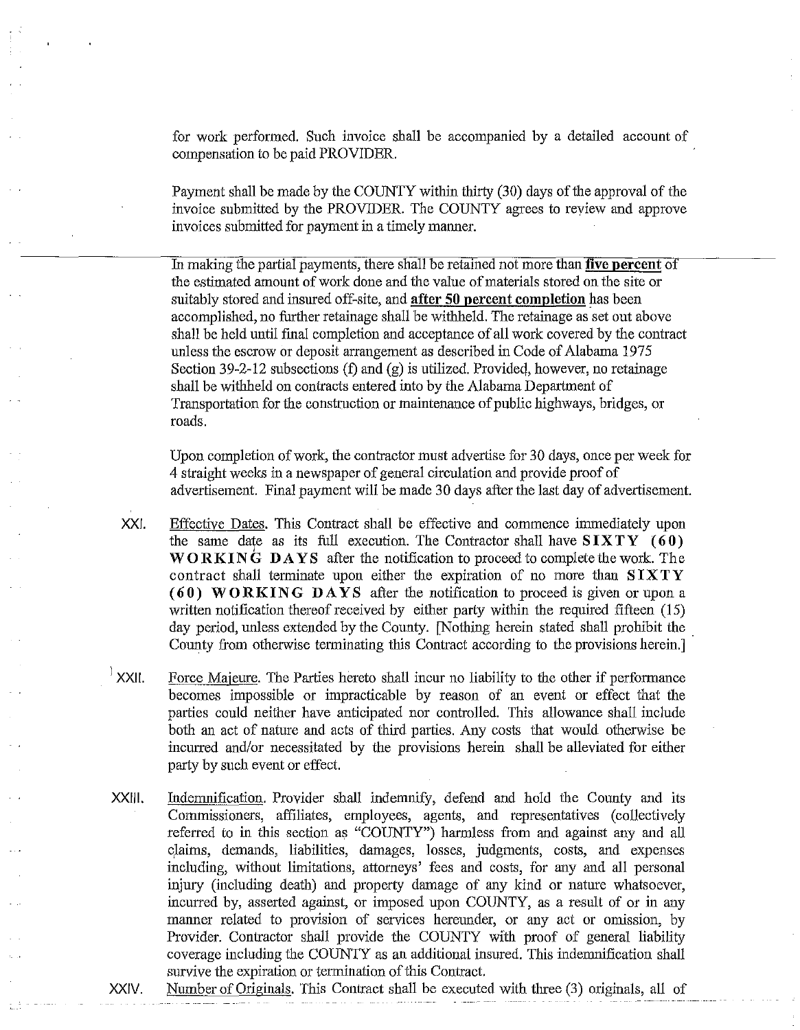for work performed. Such invoice shall be accompanied by a detailed account of compensation to be paid PROVIDER.

Payment shall be made by the COUNTY within thirty (30) days of the approval of the invoice submitted by the PROVIDER. The COUNTY agrees to reyiew and approve invoices submitted for payment in a timely manner.

In making the partial payments, there shall be retained not more than **five percent** of the estimated amount of work done and the value of materials stored on the site or suitably stored and insured off-site, and **after 50 percent completion** has been accomplished, no further retainage shall be withheld. The retainage as set out above shall be held until final completion and acceptance of all work covered by the contract unless the escrow or deposit arrangement as described in Code of Alabama 1975 Section 39-2-12 subsections (f) and (g) is utilized. Provided, however, no retainage shall be withheld on contracts entered into by the Alabama Department of Transportation for the construction or maintenance of public highways, bridges, or roads.

Upon completion of work, the contractor must advertise for 30 days, once per week for 4 straight weeks in a newspaper of general circulation and provide proof of advertisement. Final payment will be made 30 days after the last day of advertisement.

- XX/. Effective Dates. This Contract shall be effective and commence immediately upon the same date as its full execution. The Contractor shall have  $SIXTY (60)$ **W 0 R KING DAYS** after the notification to proceed to complete the work. The contract shall terminate upon either the expiration of no more than **SIXTY (60) WORKING DAYS** after the notification to proceed is given or upon a written notification thereof received by either party within the required fifteen (15) day period, unless extended by the County. [Nothing herein stated shall prohibit the County from otherwise terminating this Contract according to the provisions herein.]
- $\frac{1}{1}$ XXII. Force Majeure. The Parties hereto shall incur no liability to the other if performance becomes impossible or impracticable by reason of an event or effect that the parties could neither have anticipated nor controlled. This allowance shall include both an act of nature and acts of third parties. Any costs that would otherwise be incurred and/or necessitated by the provisions herein shall be alleviated for either party by such event or effect.
- XXIII. Indemnification. Provider shall indemnify, defend and hold the County and its Commissioners, affiliates, employees, agents, and representatives (collectively referred to in this section as "COUNTY") harmless from and against any and all claims, demands, liabilities, damages, losses, judgments, costs, and expenses including, wi1hout limitations, attorneys' fees and costs, for any and all personal injury (including death) and property damage of any kind or nature whatsoever, incurred by, asserted against, or imposed upon COUNTY, as a result of or in any manner related to provision of services hereunder, or any act or omission, by Provider. Contractor shall provide the COUNTY with proof of general liability coverage including the COUNTY as an additional insured. This indemnification shall survive the expiration or termination of this Contract.

XXIV. Number of Originals. This Contract shall be executed with three (3) originals, all of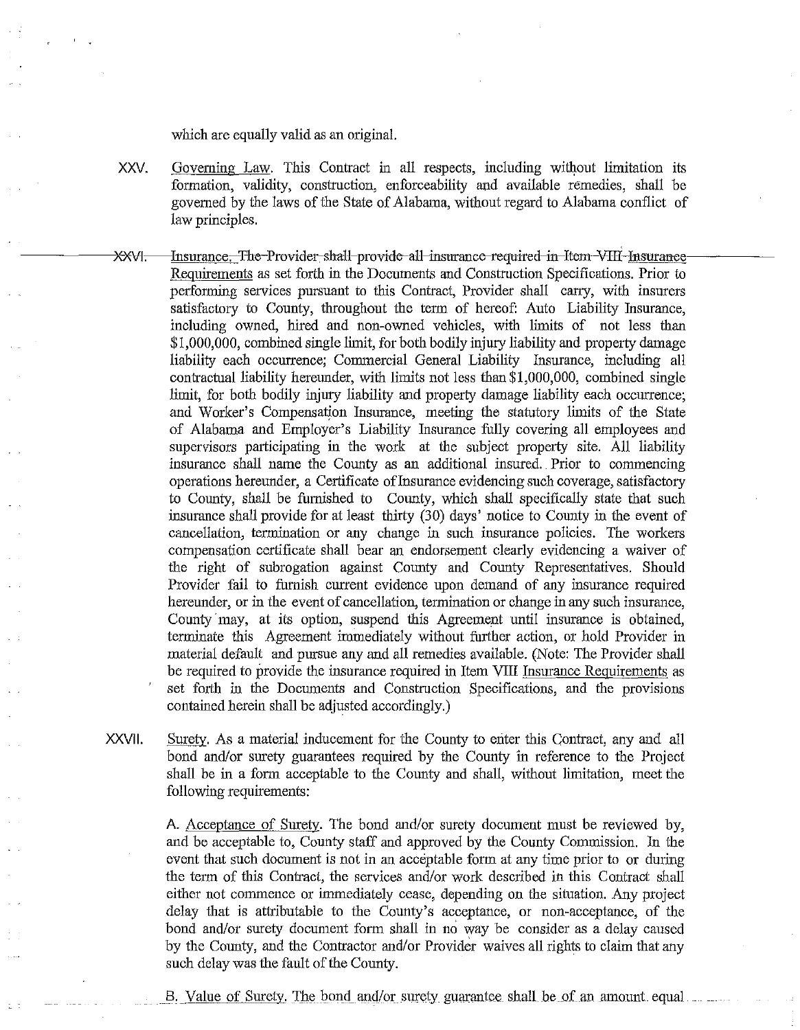which are equally valid as an original.

- XXV. Governing Law. This Contract in all respects, including without limitation its formation, validity, construction, enforceability and available remedies, shall be governed by the laws of the State of Alabama, without regard to Alabama conflict of law principles.
- ------~!-. -Insurance;--'Phe-Prnvider;-shall-prnvide-all--insurance-required-in-Hem-VfII-Insurance----- Reguirements as set forth in the Documents and Construction Specifications. Prior to performing services pursuant to this Contract, Provider shall carry, with insurers satisfactory to County, throughout the term of hereof: Auto Liability Insurance, including owned, hired and non-owned vehicles, with limits of not less than \$1,000,000, combined single limit, for both bodily injury liability and property damage liability each occurrence; Commercial General Liability Insurance, including all contractual liability hereunder, with limits not less than\$1,000,000, combined single limit, for both bodily injury liability and property damage liability each occurrence; and Worker's Compensation Insurance, meeting the statutory limits of the State of Alabama and Employer's Liability Insurance fully covering all employees and supervisors participating in the work at the subject property site. All liability insurance shall name the County as an additional insured .. Prior to commencing operations hereunder, a Certificate ofinsurance evidencing such coverage, satisfactory to County, shall be furnished to County, which shall specifically state that such insurance shall provide for at least thirty (30) days' notice to County in the event of cancellation, termination or any change in such insurance policies. The workers compensation certificate shall bear an endorsement clearly evidencing a waiver of the right of subrogation against County and County Representatives. Should Provider fail to furnish current evidence upon demand of any insurance required hereunder, or in the event of cancellation, termination or change in any such insurance, County may, at its option, suspend this Agreement until insurance is obtained, terminate this Agreement innnediately without further action, or hold Provider in material default and pursue any and all remedies available. (Note: The Provider shall be required to provide the insurance required in Item VIII Insurance Requirements as set forth in the Documents and Construction Specifications, and the provisions contained herein shall be adjusted accordingly.)
- XXVII. Surety. As a material inducement for the County to enter this Contract, any and all bond and/or surety guarantees required by the County in reference to the Project shall be in a form acceptable to the County and shall, without limitation, meet the following requirements:

A. Acceptance of Surety. The bond and/or surety document must be reviewed by, and be acceptable to, County staff and approved by the County Commission. In the event that such document is not in an acceptable form at any time prior to or during the term of this Contract, the services and/or work described in this Contract shall either not commence or immediately cease, depending on the situation. Any project delay that is attributable to the County's acceptance, or non-acceptance, of the bond and/or surety document form shall in no way be consider as a delay caused by the County, and the Contractor and/or Provider waives all rights to claim that any such delay was the fault of the County.

B. Value of Surety. The bond and/or surety guarantee shall be of an amount equal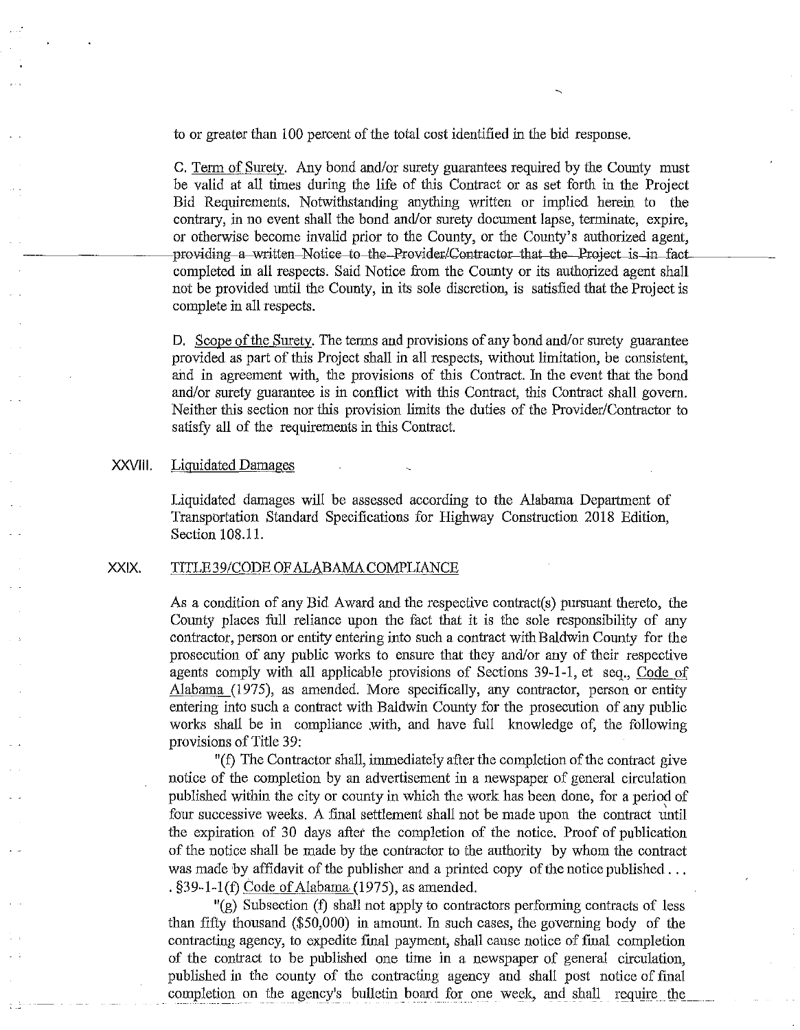to or greater than I 00 percent of the total cost identified in the bid response.

C. Term of Surety. Any bond and/or surety guarantees required by the County must be valid at all times during the life of this Contract or as set forth in the Project Bid Requirements. Notwithstanding anything written or implied herein to the contrary, in no event shall the bond and/or surety document lapse, terminate, expire, or otherwise become invalid prior to the County, or the County's authorized agent, -providing a written Notice-to-the-Provider/Contractor-that the Project is in fact. completed in all respects. Said Notice from the County or its authorized agent shall not be provided until the County, in its sole discretion, is satisfied that the Project is complete in all respects.

D. Scope of the Surety. The terms and provisions of any bond and/or surety guarantee provided as part of this Project shall in all respects, without limitation, be consistent, and in agreement with, the provisions of this Contract. In the event that the bond and/or surety guarantee is in conflict with this Contract, this Contract shall govern. Neither this section nor this provision limits the duties of the Provider/Contractor to satisfy all of the requirements in this Contract.

## XXV/11. Liquidated Damages

Liquidated damages will be assessed according to the Alabama Department of Transportation Standard Specifications for Highway Construction 2018 Edition, Section 108.11.

## XXIX. TITLE39/CODE OF ALABAMA COMPLIANCE

As a condition of any Bid Award and the respective contract(s) pursuant thereto, the County places full reliance upon the fact that it is the sole responsibility of any contractor, person or entity entering into such a contract with Baldwin County for the prosecution of any public works to ensure that they and/or any of their respective agents comply with all applicable provisions of Sections 39-1-1, et seq., Code of Alabama (1975), as amended. More specifically, any contractor, person or entity entering into such a contract with Baldwin County for the prosecution of any public works shall be in compliance with, and have full knowledge of, the following provisions of Title 39:

"(f) The Contractor shall, immediately after the completion of the contract give notice of the completion by an advertisement in a newspaper of general circulation published within the city or county in which the work has been done, for a period of four successive weeks. A final settlement shall not be made upon the contract until the expiration of 30 days aftet the completion of the notice. Proof of publication of the notice shall be made by the contractor to the authority by whom the contract was made by affidavit of the publisher and a printed copy of the notice published ... . §39-l-l(f) Code of Alabama (1975), as amended.

"(g) Subsection (f) shall not apply to contractors performing contracts of less than fifty thousand (\$50,000) in amount. In such cases, the governing body of the contracting agency, to expedite final payment, shall cause notice of final completion of the contract to be published one time in a newspaper of general circulation, published in the county of the contracting agency and shall post notice of final completion on the agency's bulletin board for one week, and shall require the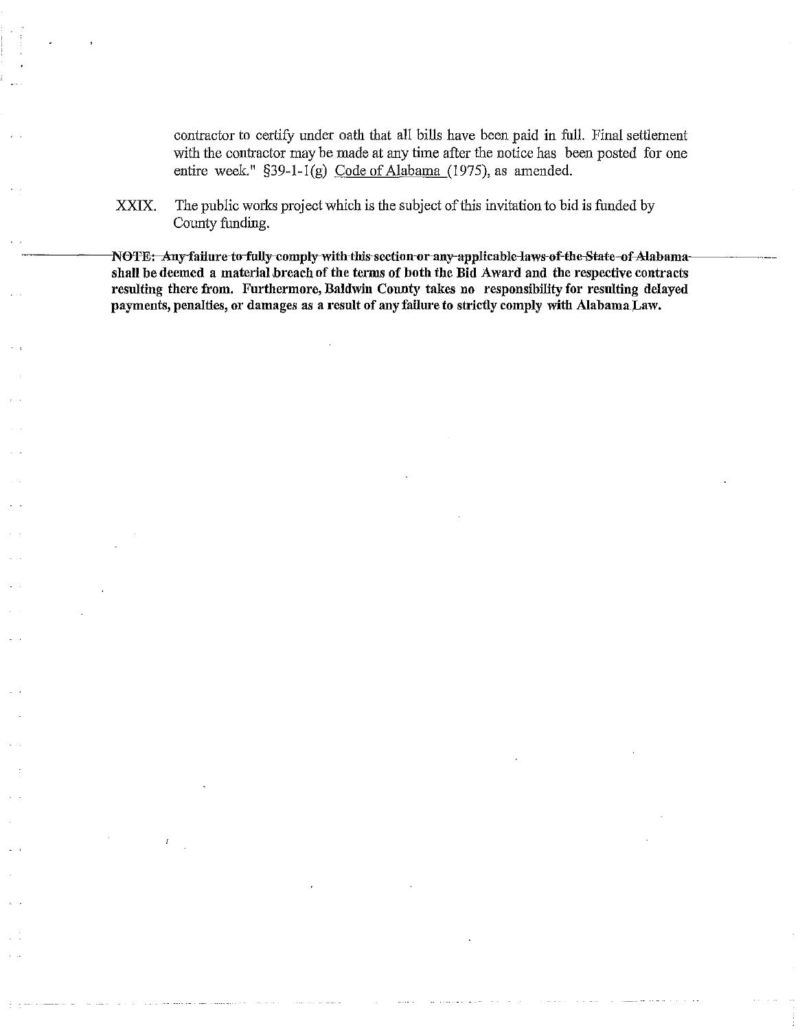contractor to certify under oath that all bills have been paid in full. Final settlement with the contractor may be made at any time after the notice has been posted for one entire week." §39-1-l(g) Code of Alabama (1975), as amended.

:XXIX. The public works project which is the subject of this invitation to bid is funded by County funding.

NOTE: Any failure-to-fully-comply-with-this-section-or-any-applicable-laws-of-the-State-of-Alabamashall be deemed a material breach of the terms of both the Bid Award and the respective contracts resulting there from. Furthermore, Baldwin County takes no responsibility for resulting delayed payments, penalties, or damages as a result of any failure to strictly comply with Alabama Law.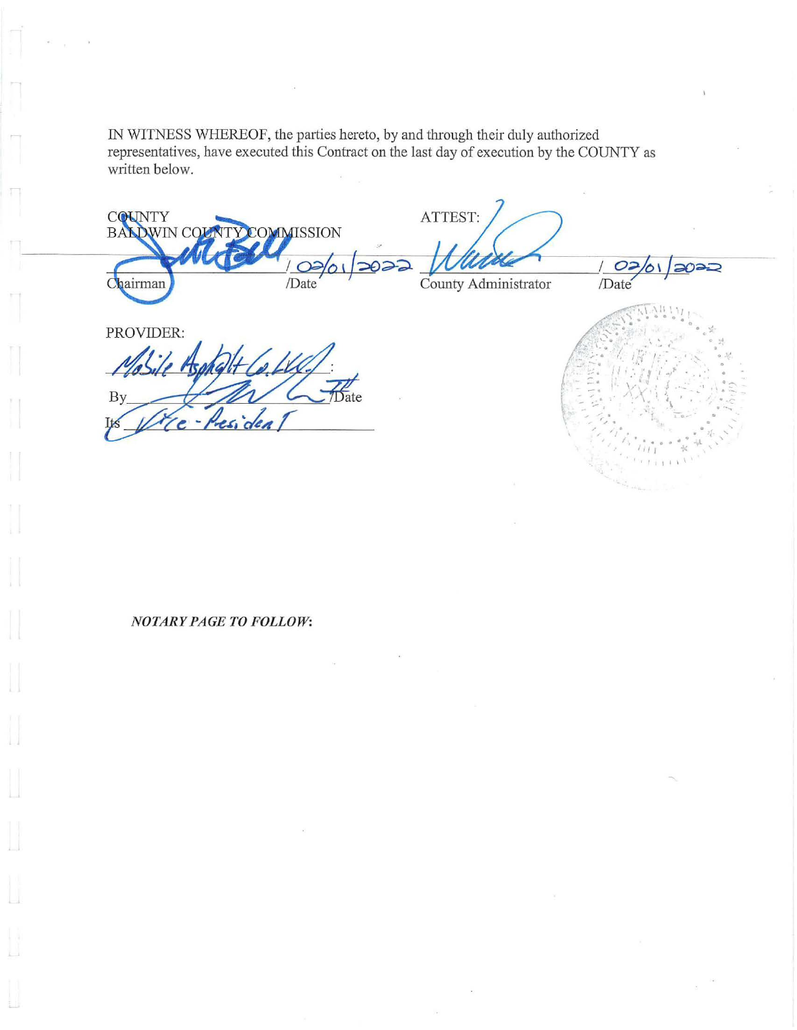IN WITNESS WHEREOF, the parties hereto, by and through their duly authorized representatives, have executed this Contract on the last day of execution by the COUNTY as written below.

COUNTY<br>BALDWIN COL ATTEST: **Y COMMISSION**  $O<sup>2</sup>$  $O<sub>2</sub>$ 22 /Date  $\overline{C}$ County Administrator hairman /Date

PROVIDER:

By Date

**NOTARY PAGE TO FOLLOW:**